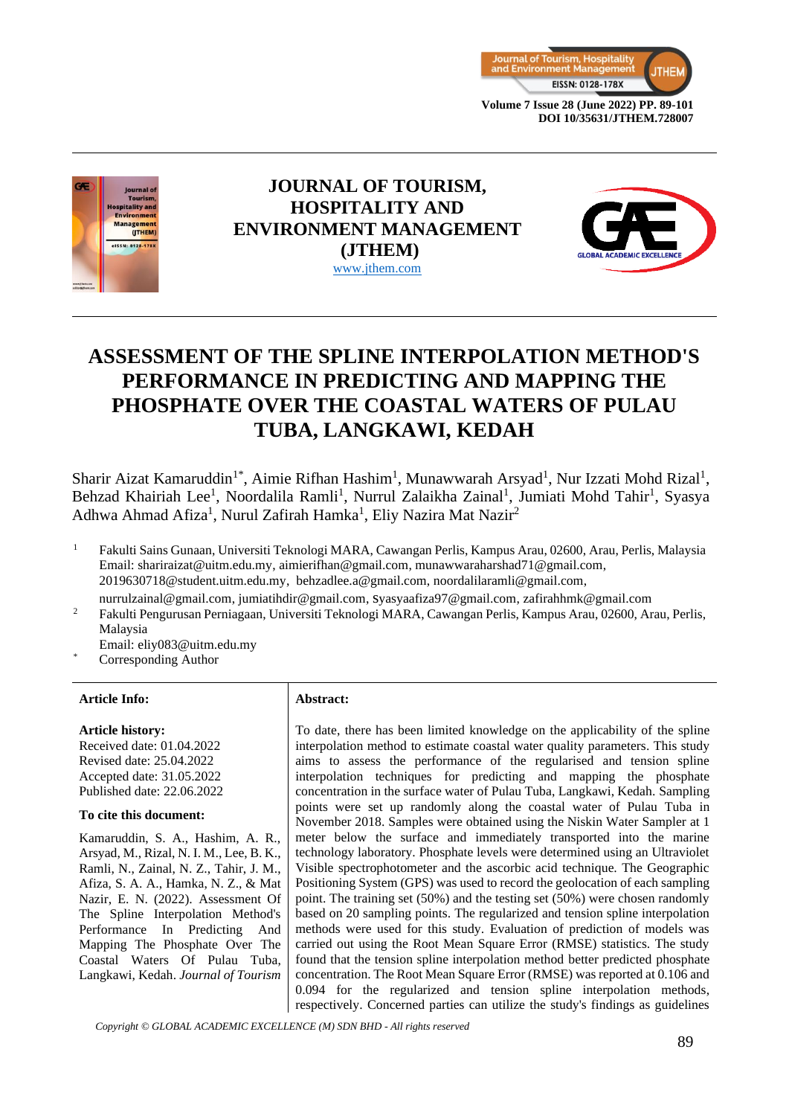



# **JOURNAL OF TOURISM, HOSPITALITY AND ENVIRONMENT MANAGEMENT (JTHEM)** [www.jthem.com](http://www.jthem.com/)



# **ASSESSMENT OF THE SPLINE INTERPOLATION METHOD'S PERFORMANCE IN PREDICTING AND MAPPING THE PHOSPHATE OVER THE COASTAL WATERS OF PULAU TUBA, LANGKAWI, KEDAH**

Sharir Aizat Kamaruddin<sup>1\*</sup>, Aimie Rifhan Hashim<sup>1</sup>, Munawwarah Arsyad<sup>1</sup>, Nur Izzati Mohd Rizal<sup>1</sup>, Behzad Khairiah Lee<sup>1</sup>, Noordalila Ramli<sup>1</sup>, Nurrul Zalaikha Zainal<sup>1</sup>, Jumiati Mohd Tahir<sup>1</sup>, Syasya Adhwa Ahmad Afiza<sup>1</sup>, Nurul Zafirah Hamka<sup>1</sup>, Eliy Nazira Mat Nazir<sup>2</sup>

- <sup>1</sup> Fakulti Sains Gunaan, Universiti Teknologi MARA, Cawangan Perlis, Kampus Arau, 02600, Arau, Perlis, Malaysia Email: [shariraizat@uitm.edu.my,](mailto:shariraizat@uitm.edu.my) [aimierifhan@gmail.com,](mailto:aimierifhan@gmail.com) [munawwaraharshad71@gmail.com,](mailto:munawwaraharshad71@gmail.com) [2019630718@student.uitm.edu.my,](mailto:2019630718@student.uitm.edu.my) [behzadlee.a@gmail.com,](mailto:behzadlee.a@gmail.com) [noordalilaramli@gmail.com,](mailto:noordalilaramli@gmail.com) nurrulzainal@gmail.com, [jumiatihdir@gmail.com,](mailto:jumiatihdir@gmail.com) [s](mailto:syasyaafiza97@gmail.com)[yasyaafiza97@gmail.com,](mailto:syasyaafiza97@gmail.com) [zafirahhmk@gmail.com](mailto:zafirahhmk@gmail.com)
- <sup>2</sup> Fakulti Pengurusan Perniagaan, Universiti Teknologi MARA, Cawangan Perlis, Kampus Arau, 02600, Arau, Perlis, Malaysia
- Email: eliy083@uitm.edu.my
- Corresponding Author

#### **Article Info: Abstract:**

# **Article history:**

Received date: 01.04.2022 Revised date: 25.04.2022 Accepted date: 31.05.2022 Published date: 22.06.2022

#### **To cite this document:**

Kamaruddin, S. A., Hashim, A. R., Arsyad, M., Rizal, N. I. M., Lee, B. K., Ramli, N., Zainal, N. Z., Tahir, J. M., Afiza, S. A. A., Hamka, N. Z., & Mat Nazir, E. N. (2022). Assessment Of The Spline Interpolation Method's Performance In Predicting And Mapping The Phosphate Over The Coastal Waters Of Pulau Tuba, Langkawi, Kedah. *Journal of Tourism*

To date, there has been limited knowledge on the applicability of the spline interpolation method to estimate coastal water quality parameters. This study aims to assess the performance of the regularised and tension spline interpolation techniques for predicting and mapping the phosphate concentration in the surface water of Pulau Tuba, Langkawi, Kedah. Sampling points were set up randomly along the coastal water of Pulau Tuba in November 2018. Samples were obtained using the Niskin Water Sampler at 1 meter below the surface and immediately transported into the marine technology laboratory. Phosphate levels were determined using an Ultraviolet Visible spectrophotometer and the ascorbic acid technique. The Geographic Positioning System (GPS) was used to record the geolocation of each sampling point. The training set (50%) and the testing set (50%) were chosen randomly based on 20 sampling points. The regularized and tension spline interpolation methods were used for this study. Evaluation of prediction of models was carried out using the Root Mean Square Error (RMSE) statistics. The study found that the tension spline interpolation method better predicted phosphate concentration. The Root Mean Square Error (RMSE) was reported at 0.106 and 0.094 for the regularized and tension spline interpolation methods, respectively. Concerned parties can utilize the study's findings as guidelines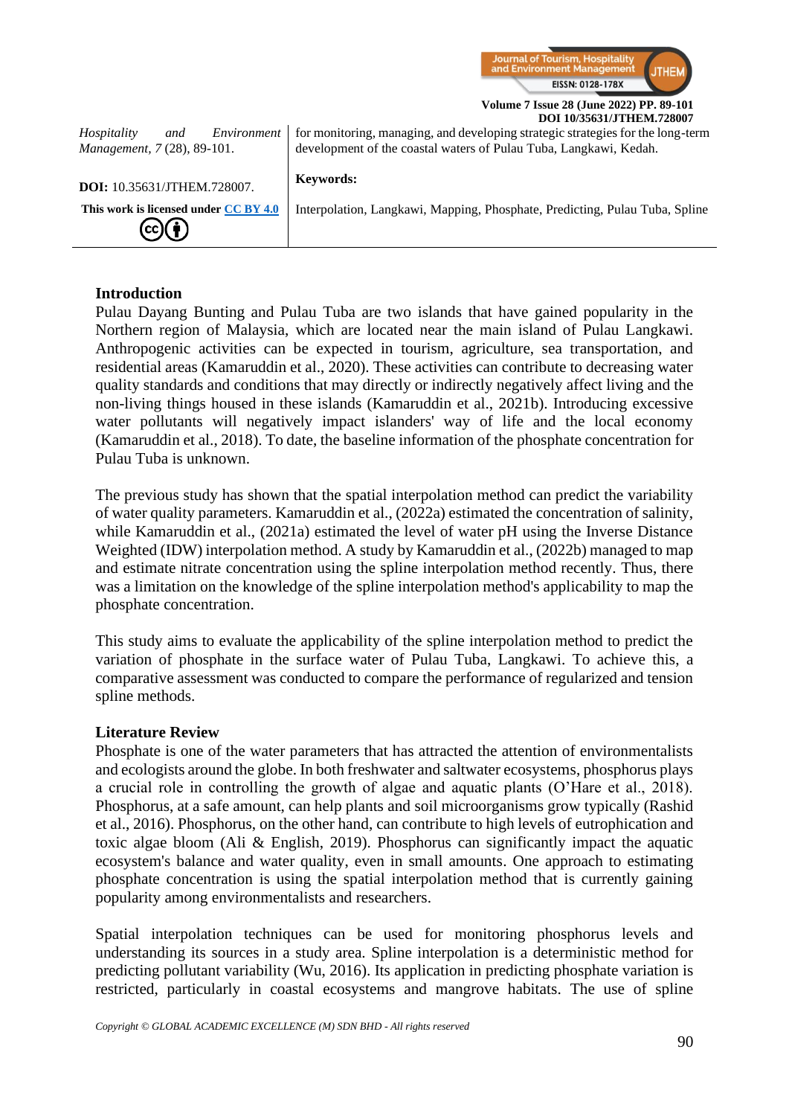

| Environment<br>Hospitality<br>and<br>Management, 7 (28), 89-101.                          | for monitoring, managing, and developing strategic strategies for the long-term<br>development of the coastal waters of Pulau Tuba, Langkawi, Kedah. |
|-------------------------------------------------------------------------------------------|------------------------------------------------------------------------------------------------------------------------------------------------------|
| DOI: 10.35631/JTHEM.728007.                                                               | <b>Keywords:</b>                                                                                                                                     |
| This work is licensed under CC BY 4.0<br>$\left(\text{cc}\right)\left(\frac{1}{2}\right)$ | Interpolation, Langkawi, Mapping, Phosphate, Predicting, Pulau Tuba, Spline                                                                          |

### **Introduction**

Pulau Dayang Bunting and Pulau Tuba are two islands that have gained popularity in the Northern region of Malaysia, which are located near the main island of Pulau Langkawi. Anthropogenic activities can be expected in tourism, agriculture, sea transportation, and residential areas (Kamaruddin et al., 2020). These activities can contribute to decreasing water quality standards and conditions that may directly or indirectly negatively affect living and the non-living things housed in these islands (Kamaruddin et al., 2021b). Introducing excessive water pollutants will negatively impact islanders' way of life and the local economy (Kamaruddin et al., 2018). To date, the baseline information of the phosphate concentration for Pulau Tuba is unknown.

The previous study has shown that the spatial interpolation method can predict the variability of water quality parameters. Kamaruddin et al., (2022a) estimated the concentration of salinity, while Kamaruddin et al., (2021a) estimated the level of water pH using the Inverse Distance Weighted (IDW) interpolation method. A study by Kamaruddin et al., (2022b) managed to map and estimate nitrate concentration using the spline interpolation method recently. Thus, there was a limitation on the knowledge of the spline interpolation method's applicability to map the phosphate concentration.

This study aims to evaluate the applicability of the spline interpolation method to predict the variation of phosphate in the surface water of Pulau Tuba, Langkawi. To achieve this, a comparative assessment was conducted to compare the performance of regularized and tension spline methods.

### **Literature Review**

Phosphate is one of the water parameters that has attracted the attention of environmentalists and ecologists around the globe. In both freshwater and saltwater ecosystems, phosphorus plays a crucial role in controlling the growth of algae and aquatic plants (O'Hare et al., 2018). Phosphorus, at a safe amount, can help plants and soil microorganisms grow typically (Rashid et al., 2016). Phosphorus, on the other hand, can contribute to high levels of eutrophication and toxic algae bloom (Ali & English, 2019). Phosphorus can significantly impact the aquatic ecosystem's balance and water quality, even in small amounts. One approach to estimating phosphate concentration is using the spatial interpolation method that is currently gaining popularity among environmentalists and researchers.

Spatial interpolation techniques can be used for monitoring phosphorus levels and understanding its sources in a study area. Spline interpolation is a deterministic method for predicting pollutant variability (Wu, 2016). Its application in predicting phosphate variation is restricted, particularly in coastal ecosystems and mangrove habitats. The use of spline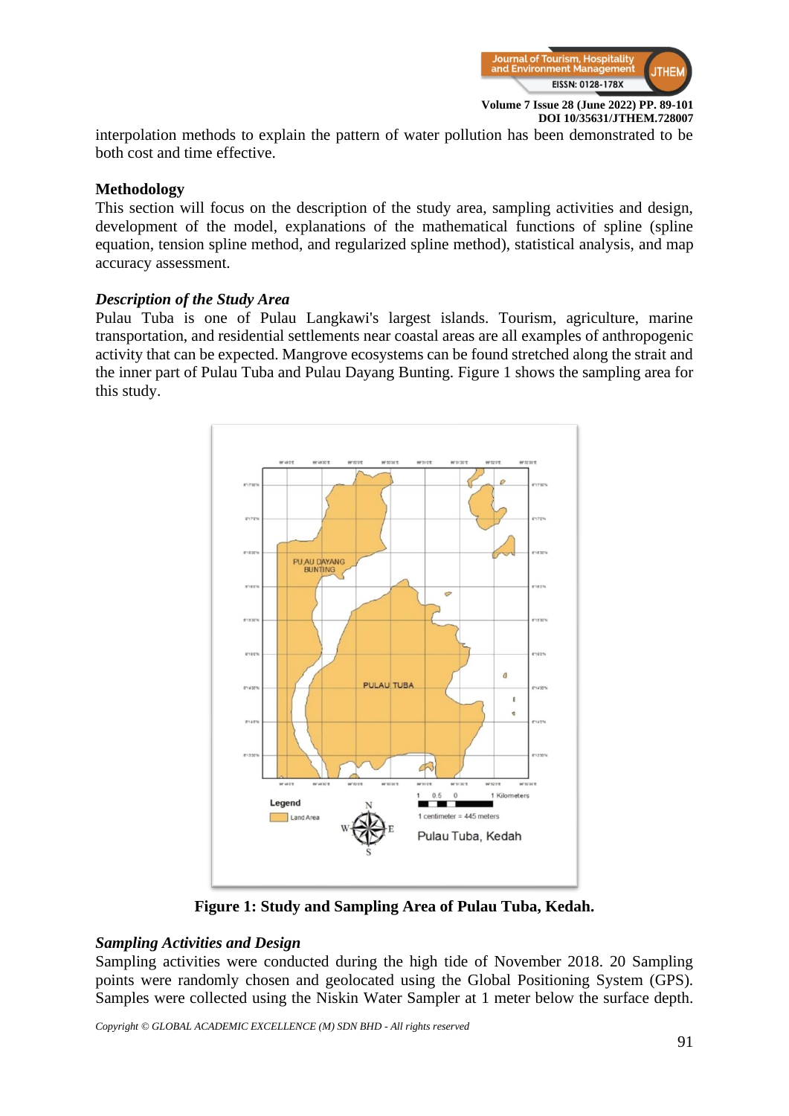

interpolation methods to explain the pattern of water pollution has been demonstrated to be both cost and time effective.

# **Methodology**

This section will focus on the description of the study area, sampling activities and design, development of the model, explanations of the mathematical functions of spline (spline equation, tension spline method, and regularized spline method), statistical analysis, and map accuracy assessment.

# *Description of the Study Area*

Pulau Tuba is one of Pulau Langkawi's largest islands. Tourism, agriculture, marine transportation, and residential settlements near coastal areas are all examples of anthropogenic activity that can be expected. Mangrove ecosystems can be found stretched along the strait and the inner part of Pulau Tuba and Pulau Dayang Bunting. Figure 1 shows the sampling area for this study.



**Figure 1: Study and Sampling Area of Pulau Tuba, Kedah.**

# *Sampling Activities and Design*

Sampling activities were conducted during the high tide of November 2018. 20 Sampling points were randomly chosen and geolocated using the Global Positioning System (GPS). Samples were collected using the Niskin Water Sampler at 1 meter below the surface depth.

*Copyright © GLOBAL ACADEMIC EXCELLENCE (M) SDN BHD - All rights reserved*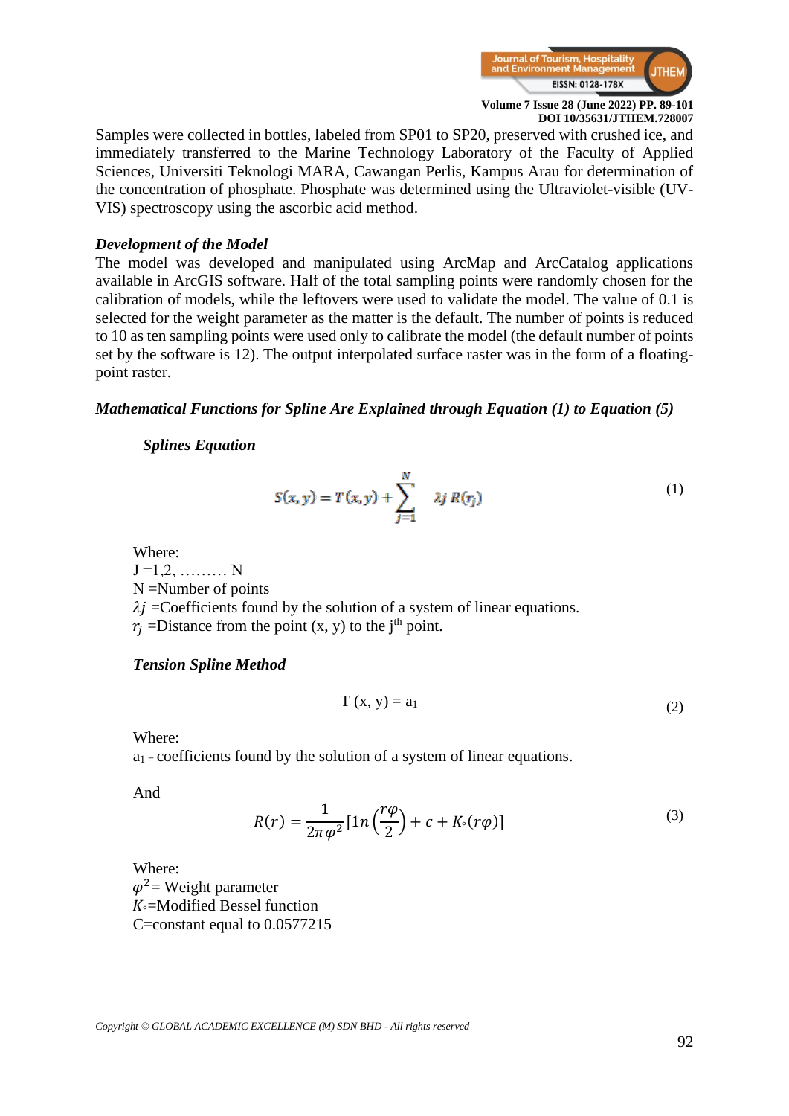

Samples were collected in bottles, labeled from SP01 to SP20, preserved with crushed ice, and immediately transferred to the Marine Technology Laboratory of the Faculty of Applied Sciences, Universiti Teknologi MARA, Cawangan Perlis, Kampus Arau for determination of the concentration of phosphate. Phosphate was determined using the Ultraviolet-visible (UV-VIS) spectroscopy using the ascorbic acid method.

# *Development of the Model*

The model was developed and manipulated using ArcMap and ArcCatalog applications available in ArcGIS software. Half of the total sampling points were randomly chosen for the calibration of models, while the leftovers were used to validate the model. The value of 0.1 is selected for the weight parameter as the matter is the default. The number of points is reduced to 10 as ten sampling points were used only to calibrate the model (the default number of points set by the software is 12). The output interpolated surface raster was in the form of a floatingpoint raster.

### *Mathematical Functions for Spline Are Explained through Equation (1) to Equation (5)*

### *Splines Equation*

$$
S(x, y) = T(x, y) + \sum_{j=1}^{N} \lambda j R(r_j)
$$
 (1)

Where:  $J = 1, 2, \dots, N$ N =Number of points  $\lambda i$  =Coefficients found by the solution of a system of linear equations.  $r_i$  =Distance from the point (x, y) to the j<sup>th</sup> point.

### *Tension Spline Method*

$$
T(x, y) = a_1 \tag{2}
$$

Where:

 $a_1$  = coefficients found by the solution of a system of linear equations.

And

$$
R(r) = \frac{1}{2\pi\varphi^2} \left[ 1n\left(\frac{r\varphi}{2}\right) + c + K_0(r\varphi) \right]
$$
 (3)

Where:  $\varphi^2$  = Weight parameter  $K =$ Modified Bessel function C=constant equal to 0.0577215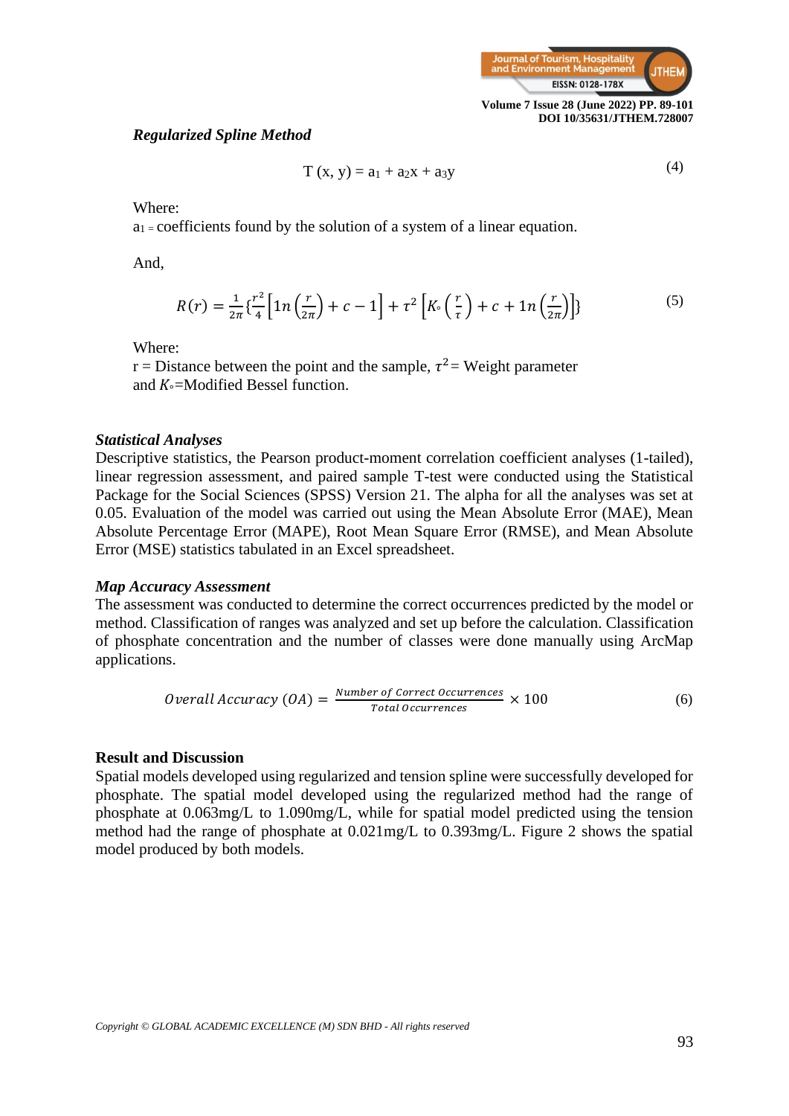

#### *Regularized Spline Method*

$$
T(x, y) = a_1 + a_2x + a_3y
$$
 (4)

Where:

 $a_1$  = coefficients found by the solution of a system of a linear equation.

And,

$$
R(r) = \frac{1}{2\pi} \left\{ \frac{r^2}{4} \left[ 1n\left(\frac{r}{2\pi}\right) + c - 1 \right] + \tau^2 \left[ K \left( \frac{r}{\tau} \right) + c + 1n\left(\frac{r}{2\pi}\right) \right] \right\}
$$
(5)

Where:

r = Distance between the point and the sample,  $\tau^2$  = Weight parameter and  $K =$ Modified Bessel function.

#### *Statistical Analyses*

Descriptive statistics, the Pearson product-moment correlation coefficient analyses (1-tailed), linear regression assessment, and paired sample T-test were conducted using the Statistical Package for the Social Sciences (SPSS) Version 21. The alpha for all the analyses was set at 0.05. Evaluation of the model was carried out using the Mean Absolute Error (MAE), Mean Absolute Percentage Error (MAPE), Root Mean Square Error (RMSE), and Mean Absolute Error (MSE) statistics tabulated in an Excel spreadsheet.

#### *Map Accuracy Assessment*

The assessment was conducted to determine the correct occurrences predicted by the model or method. Classification of ranges was analyzed and set up before the calculation. Classification of phosphate concentration and the number of classes were done manually using ArcMap applications.

*Overall Accuracy (OA)* = 
$$
\frac{Number\ of\ Correct\ Occurrences}{Total\ Occurrences} \times 100
$$
 (6)

#### **Result and Discussion**

Spatial models developed using regularized and tension spline were successfully developed for phosphate. The spatial model developed using the regularized method had the range of phosphate at 0.063mg/L to 1.090mg/L, while for spatial model predicted using the tension method had the range of phosphate at 0.021mg/L to 0.393mg/L. Figure 2 shows the spatial model produced by both models.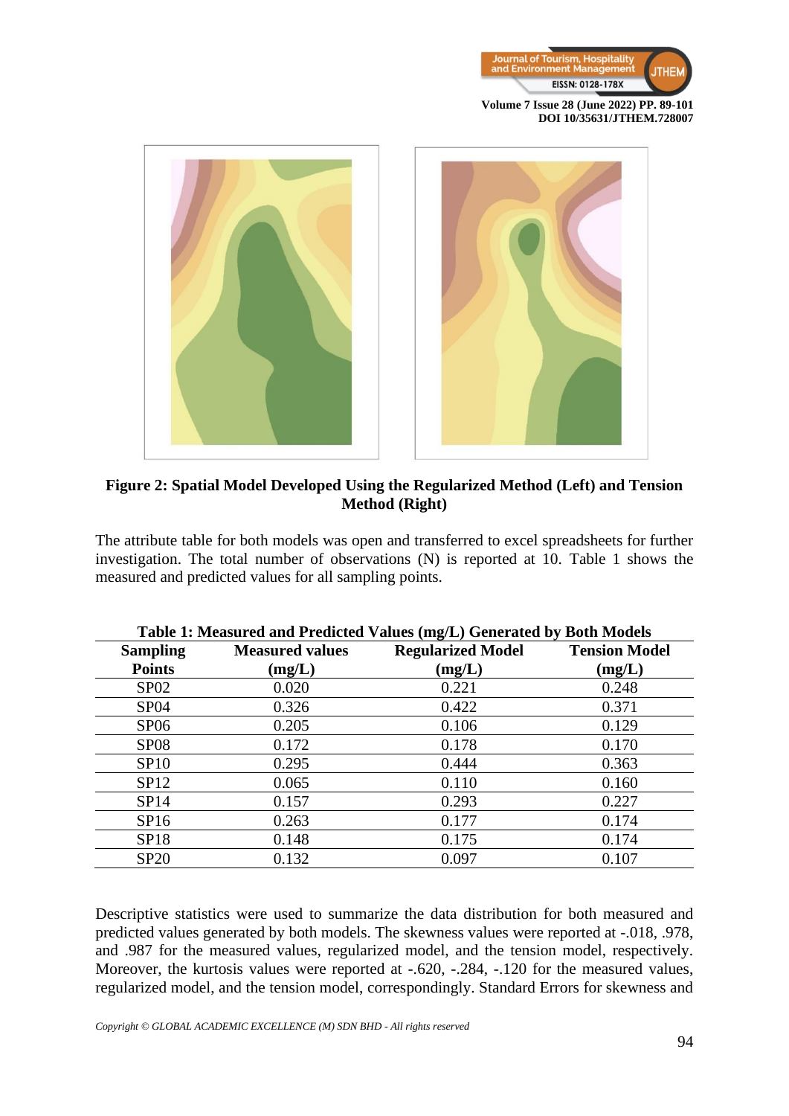



# **Figure 2: Spatial Model Developed Using the Regularized Method (Left) and Tension Method (Right)**

The attribute table for both models was open and transferred to excel spreadsheets for further investigation. The total number of observations (N) is reported at 10. Table 1 shows the measured and predicted values for all sampling points.

|                  |                        | $\mathbf{r}$ and $\mathbf{r}$ is the model of the sequence $\mathbf{r}$ and $\mathbf{r}$ $\mathbf{r}$ of $\mathbf{r}$ is $\mathbf{r}$ and $\mathbf{r}$ is $\mathbf{r}$ and $\mathbf{r}$ and $\mathbf{r}$ is $\mathbf{r}$ and $\mathbf{r}$ and $\mathbf{r}$ is $\mathbf{r}$ and $\mathbf{r}$ a |                      |
|------------------|------------------------|-----------------------------------------------------------------------------------------------------------------------------------------------------------------------------------------------------------------------------------------------------------------------------------------------|----------------------|
| <b>Sampling</b>  | <b>Measured values</b> | <b>Regularized Model</b>                                                                                                                                                                                                                                                                      | <b>Tension Model</b> |
| <b>Points</b>    | (mg/L)                 | (mg/L)                                                                                                                                                                                                                                                                                        | (mg/L)               |
| <b>SP02</b>      | 0.020                  | 0.221                                                                                                                                                                                                                                                                                         | 0.248                |
| <b>SP04</b>      | 0.326                  | 0.422                                                                                                                                                                                                                                                                                         | 0.371                |
| SP <sub>06</sub> | 0.205                  | 0.106                                                                                                                                                                                                                                                                                         | 0.129                |
| <b>SP08</b>      | 0.172                  | 0.178                                                                                                                                                                                                                                                                                         | 0.170                |
| SP10             | 0.295                  | 0.444                                                                                                                                                                                                                                                                                         | 0.363                |
| SP12             | 0.065                  | 0.110                                                                                                                                                                                                                                                                                         | 0.160                |
| SP14             | 0.157                  | 0.293                                                                                                                                                                                                                                                                                         | 0.227                |
| SP16             | 0.263                  | 0.177                                                                                                                                                                                                                                                                                         | 0.174                |
| <b>SP18</b>      | 0.148                  | 0.175                                                                                                                                                                                                                                                                                         | 0.174                |
| <b>SP20</b>      | 0.132                  | 0.097                                                                                                                                                                                                                                                                                         | 0.107                |

|  |  | Table 1: Measured and Predicted Values (mg/L) Generated by Both Models |  |  |  |  |
|--|--|------------------------------------------------------------------------|--|--|--|--|
|--|--|------------------------------------------------------------------------|--|--|--|--|

Descriptive statistics were used to summarize the data distribution for both measured and predicted values generated by both models. The skewness values were reported at -.018, .978, and .987 for the measured values, regularized model, and the tension model, respectively. Moreover, the kurtosis values were reported at -.620, -.284, -.120 for the measured values, regularized model, and the tension model, correspondingly. Standard Errors for skewness and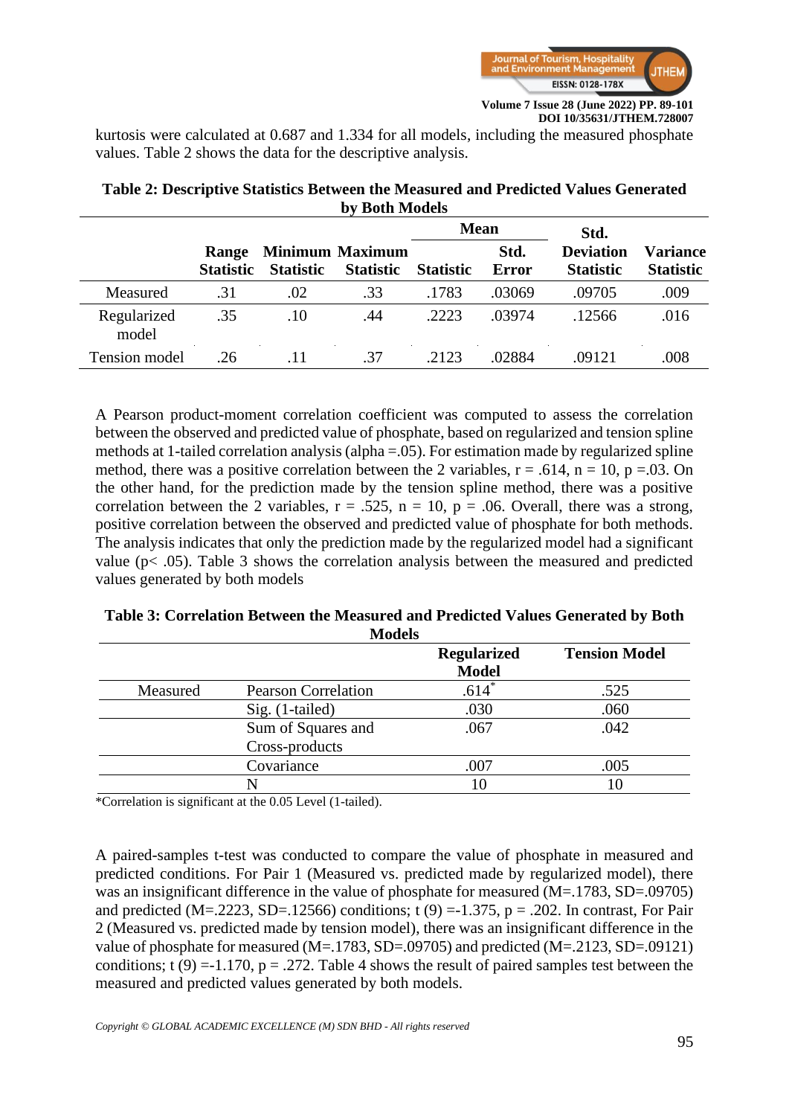

kurtosis were calculated at 0.687 and 1.334 for all models, including the measured phosphate values. Table 2 shows the data for the descriptive analysis.

|                      |                                  |                  |                                            | <b>Mean</b>      |                      | Std.                                 |                              |
|----------------------|----------------------------------|------------------|--------------------------------------------|------------------|----------------------|--------------------------------------|------------------------------|
|                      | <b>Range</b><br><b>Statistic</b> | <b>Statistic</b> | <b>Minimum Maximum</b><br><b>Statistic</b> | <b>Statistic</b> | Std.<br><b>Error</b> | <b>Deviation</b><br><b>Statistic</b> | Variance<br><b>Statistic</b> |
| Measured             | .31                              | .02              | .33                                        | .1783            | .03069               | .09705                               | .009                         |
| Regularized<br>model | .35                              | .10              | .44                                        | .2223            | .03974               | -12566                               | .016                         |
| Tension model        | .26                              | .11              | .37                                        | 2123             | .02884               | .09121                               | .008                         |

# **Table 2: Descriptive Statistics Between the Measured and Predicted Values Generated by Both Models**

A Pearson product-moment correlation coefficient was computed to assess the correlation between the observed and predicted value of phosphate, based on regularized and tension spline methods at 1-tailed correlation analysis (alpha =.05). For estimation made by regularized spline method, there was a positive correlation between the 2 variables,  $r = .614$ ,  $n = 10$ ,  $p = .03$ . On the other hand, for the prediction made by the tension spline method, there was a positive correlation between the 2 variables,  $r = .525$ ,  $n = 10$ ,  $p = .06$ . Overall, there was a strong, positive correlation between the observed and predicted value of phosphate for both methods. The analysis indicates that only the prediction made by the regularized model had a significant value (p< .05). Table 3 shows the correlation analysis between the measured and predicted values generated by both models

# **Table 3: Correlation Between the Measured and Predicted Values Generated by Both Models**

|          |                            | <b>Regularized</b> | <b>Tension Model</b> |
|----------|----------------------------|--------------------|----------------------|
|          |                            | <b>Model</b>       |                      |
| Measured | <b>Pearson Correlation</b> | $.614*$            | .525                 |
|          | $Sig.$ (1-tailed)          | .030               | .060                 |
|          | Sum of Squares and         | .067               | .042                 |
|          | Cross-products             |                    |                      |
|          | Covariance                 | .007               | .005                 |
|          |                            | I C                |                      |

\*Correlation is significant at the 0.05 Level (1-tailed).

A paired-samples t-test was conducted to compare the value of phosphate in measured and predicted conditions. For Pair 1 (Measured vs. predicted made by regularized model), there was an insignificant difference in the value of phosphate for measured (M=.1783, SD=.09705) and predicted (M=.2223, SD=.12566) conditions;  $t(9) = -1.375$ ,  $p = .202$ . In contrast, For Pair 2 (Measured vs. predicted made by tension model), there was an insignificant difference in the value of phosphate for measured (M=.1783, SD=.09705) and predicted (M=.2123, SD=.09121) conditions; t (9) =-1.170,  $p = .272$ . Table 4 shows the result of paired samples test between the measured and predicted values generated by both models.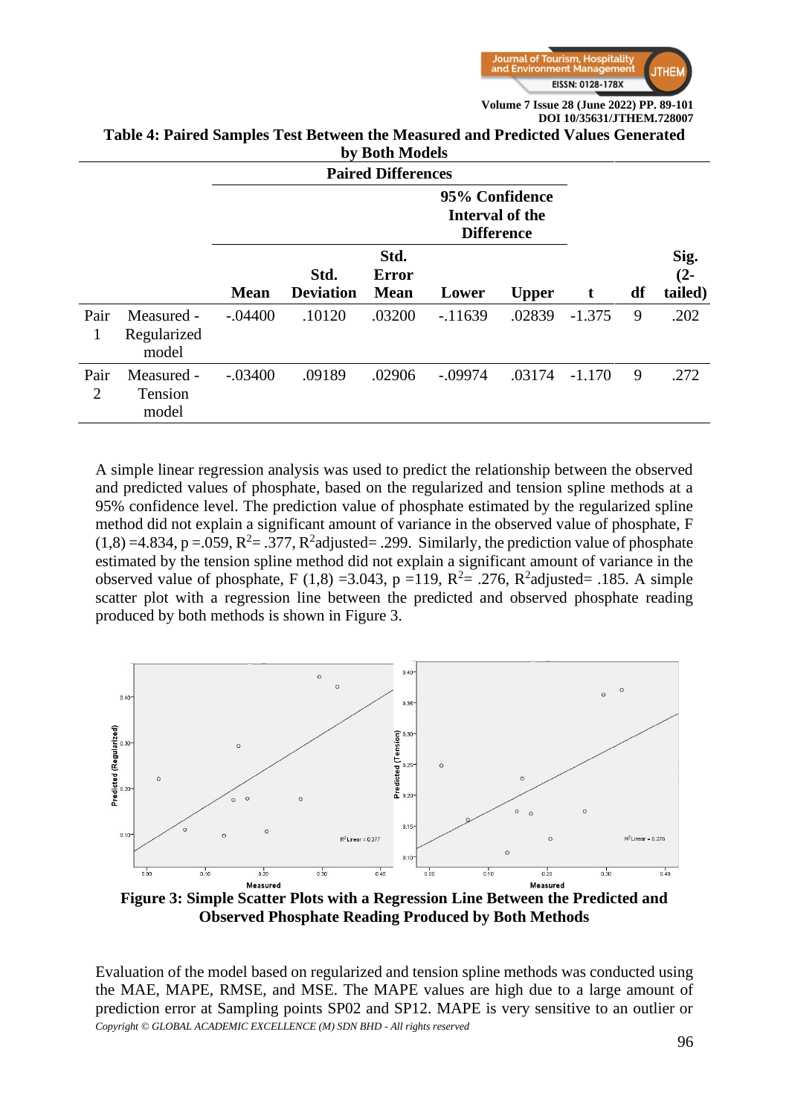

**95% Confidence** 

# **Table 4: Paired Samples Test Between the Measured and Predicted Values Generated by Both Models**

**Paired Differences**

|                        |                                    |             | Interval of the<br><b>Difference</b> |                                     |           |              |          |    |                           |
|------------------------|------------------------------------|-------------|--------------------------------------|-------------------------------------|-----------|--------------|----------|----|---------------------------|
|                        |                                    | <b>Mean</b> | Std.<br><b>Deviation</b>             | Std.<br><b>Error</b><br><b>Mean</b> | Lower     | <b>Upper</b> | t        | df | Sig.<br>$(2 -$<br>tailed) |
| Pair<br>1              | Measured -<br>Regularized<br>model | $-.04400$   | .10120                               | .03200                              | $-11639$  | .02839       | $-1.375$ | 9  | .202                      |
| Pair<br>$\overline{2}$ | Measured -<br>Tension<br>model     | $-.03400$   | .09189                               | .02906                              | $-.09974$ | .03174       | $-1.170$ | 9  | .272                      |

A simple linear regression analysis was used to predict the relationship between the observed and predicted values of phosphate, based on the regularized and tension spline methods at a 95% confidence level. The prediction value of phosphate estimated by the regularized spline method did not explain a significant amount of variance in the observed value of phosphate, F  $(1,8) = 4.834$ , p = .059, R<sup>2</sup> = .377, R<sup>2</sup>adjusted = .299. Similarly, the prediction value of phosphate estimated by the tension spline method did not explain a significant amount of variance in the observed value of phosphate, F (1,8) = 3.043, p = 119,  $R^2$  = .276,  $R^2$ adjusted = .185. A simple scatter plot with a regression line between the predicted and observed phosphate reading produced by both methods is shown in Figure 3.



**Observed Phosphate Reading Produced by Both Methods**

*Copyright © GLOBAL ACADEMIC EXCELLENCE (M) SDN BHD - All rights reserved* Evaluation of the model based on regularized and tension spline methods was conducted using the MAE, MAPE, RMSE, and MSE. The MAPE values are high due to a large amount of prediction error at Sampling points SP02 and SP12. MAPE is very sensitive to an outlier or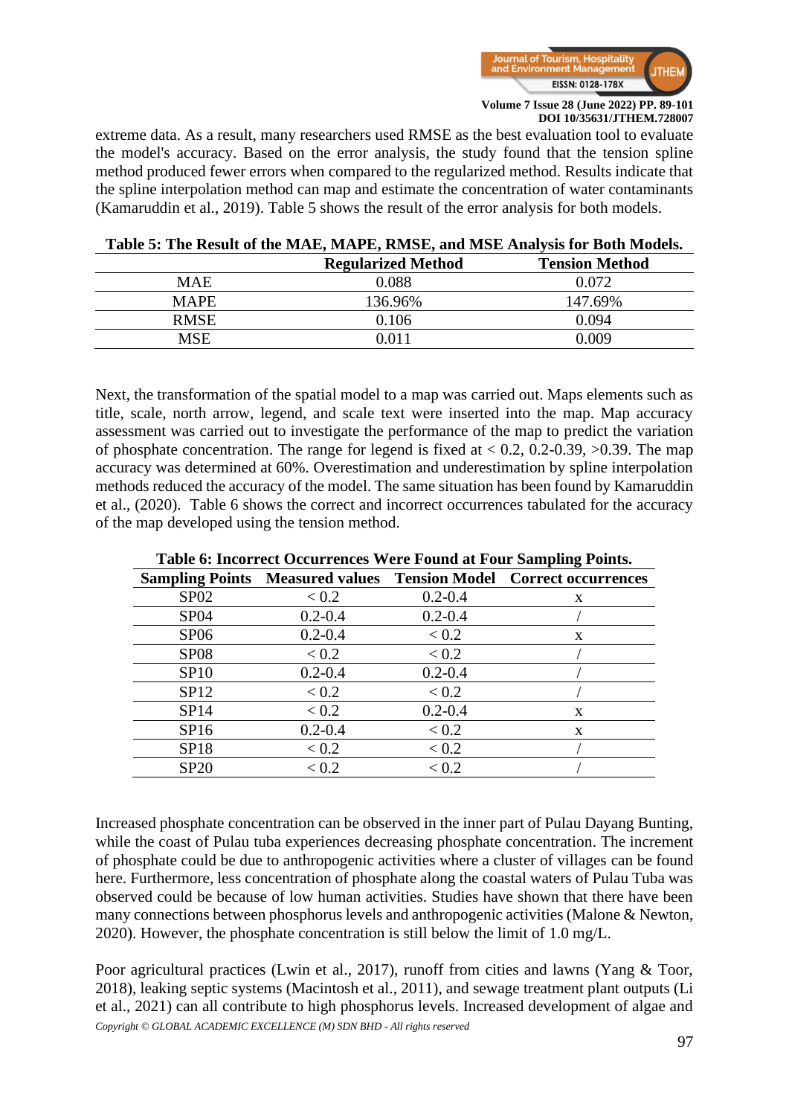

extreme data. As a result, many researchers used RMSE as the best evaluation tool to evaluate the model's accuracy. Based on the error analysis, the study found that the tension spline method produced fewer errors when compared to the regularized method. Results indicate that the spline interpolation method can map and estimate the concentration of water contaminants (Kamaruddin et al., 2019). Table 5 shows the result of the error analysis for both models.

|             | <b>Regularized Method</b> | <b>Tension Method</b> |
|-------------|---------------------------|-----------------------|
| <b>MAE</b>  | 0.088                     | 0.072                 |
| <b>MAPE</b> | 136.96%                   | 147.69%               |
| <b>RMSE</b> | 0.106                     | 0.094                 |
| MSE         | 0 011                     | N 009                 |

#### **Table 5: The Result of the MAE, MAPE, RMSE, and MSE Analysis for Both Models.**

Next, the transformation of the spatial model to a map was carried out. Maps elements such as title, scale, north arrow, legend, and scale text were inserted into the map. Map accuracy assessment was carried out to investigate the performance of the map to predict the variation of phosphate concentration. The range for legend is fixed at  $< 0.2$ , 0.2-0.39,  $> 0.39$ . The map accuracy was determined at 60%. Overestimation and underestimation by spline interpolation methods reduced the accuracy of the model. The same situation has been found by Kamaruddin et al., (2020). Table 6 shows the correct and incorrect occurrences tabulated for the accuracy of the map developed using the tension method.

|             |             |             | $\frac{1}{2}$ $\frac{1}{2}$ $\frac{1}{2}$ $\frac{1}{2}$ $\frac{1}{2}$ $\frac{1}{2}$ $\frac{1}{2}$ $\frac{1}{2}$ $\frac{1}{2}$ $\frac{1}{2}$ $\frac{1}{2}$ $\frac{1}{2}$ $\frac{1}{2}$ $\frac{1}{2}$ $\frac{1}{2}$ $\frac{1}{2}$ $\frac{1}{2}$ $\frac{1}{2}$ $\frac{1}{2}$ $\frac{1}{2}$ $\frac{1}{2}$ $\frac{1}{2}$<br><b>Sampling Points Measured values Tension Model Correct occurrences</b> |
|-------------|-------------|-------------|-------------------------------------------------------------------------------------------------------------------------------------------------------------------------------------------------------------------------------------------------------------------------------------------------------------------------------------------------------------------------------------------------|
| SP02        | < 0.2       | $0.2 - 0.4$ | X                                                                                                                                                                                                                                                                                                                                                                                               |
| <b>SP04</b> | $0.2 - 0.4$ | $0.2 - 0.4$ |                                                                                                                                                                                                                                                                                                                                                                                                 |
| SP06        | $0.2 - 0.4$ | < 0.2       | X                                                                                                                                                                                                                                                                                                                                                                                               |
| <b>SP08</b> | < 0.2       | < 0.2       |                                                                                                                                                                                                                                                                                                                                                                                                 |
| SP10        | $0.2 - 0.4$ | $0.2 - 0.4$ |                                                                                                                                                                                                                                                                                                                                                                                                 |
| SP12        | < 0.2       | < 0.2       |                                                                                                                                                                                                                                                                                                                                                                                                 |
| SP14        | < 0.2       | $0.2 - 0.4$ | X                                                                                                                                                                                                                                                                                                                                                                                               |
| SP16        | $0.2 - 0.4$ | < 0.2       | X                                                                                                                                                                                                                                                                                                                                                                                               |
| <b>SP18</b> | < 0.2       | < 0.2       |                                                                                                                                                                                                                                                                                                                                                                                                 |
| <b>SP20</b> | < 0.2       | < 0.2       |                                                                                                                                                                                                                                                                                                                                                                                                 |

**Table 6: Incorrect Occurrences Were Found at Four Sampling Points.**

Increased phosphate concentration can be observed in the inner part of Pulau Dayang Bunting, while the coast of Pulau tuba experiences decreasing phosphate concentration. The increment of phosphate could be due to anthropogenic activities where a cluster of villages can be found here. Furthermore, less concentration of phosphate along the coastal waters of Pulau Tuba was observed could be because of low human activities. Studies have shown that there have been many connections between phosphorus levels and anthropogenic activities (Malone & Newton, 2020). However, the phosphate concentration is still below the limit of 1.0 mg/L.

*Copyright © GLOBAL ACADEMIC EXCELLENCE (M) SDN BHD - All rights reserved* Poor agricultural practices (Lwin et al., 2017), runoff from cities and lawns (Yang & Toor, 2018), leaking septic systems (Macintosh et al., 2011), and sewage treatment plant outputs (Li et al., 2021) can all contribute to high phosphorus levels. Increased development of algae and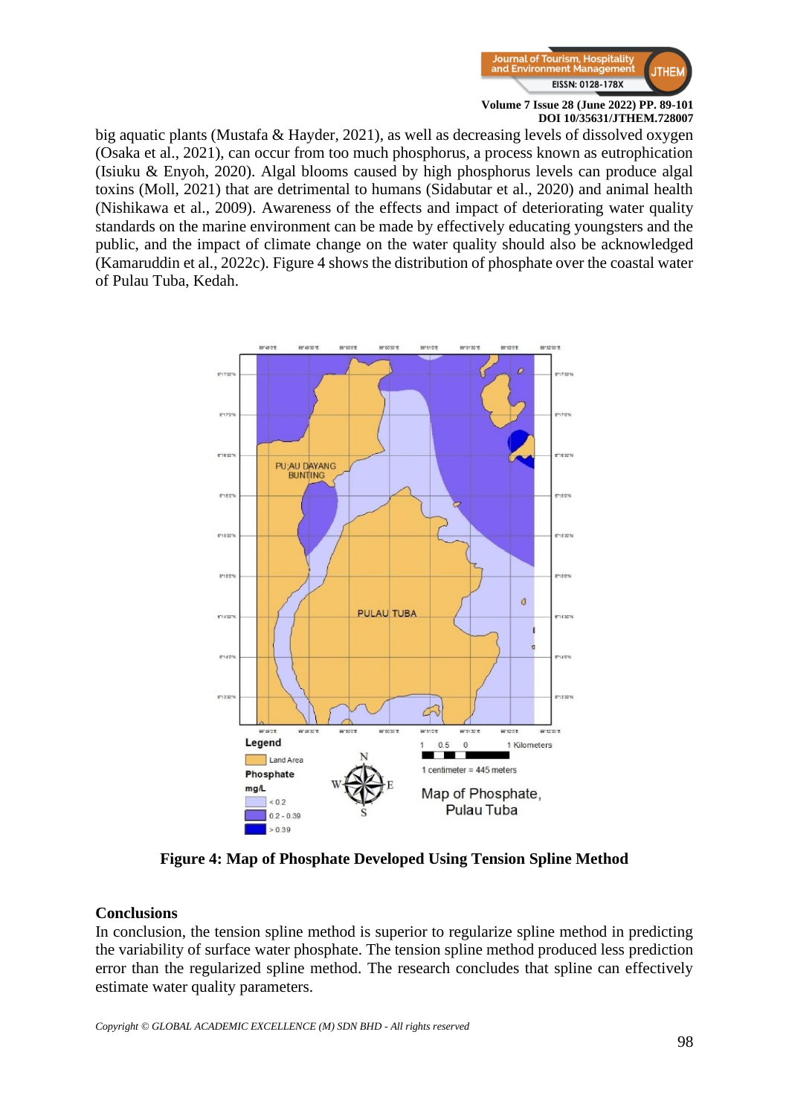

big aquatic plants (Mustafa & Hayder, 2021), as well as decreasing levels of dissolved oxygen (Osaka et al., 2021), can occur from too much phosphorus, a process known as eutrophication (Isiuku & Enyoh, 2020). Algal blooms caused by high phosphorus levels can produce algal toxins (Moll, 2021) that are detrimental to humans (Sidabutar et al., 2020) and animal health (Nishikawa et al., 2009). Awareness of the effects and impact of deteriorating water quality standards on the marine environment can be made by effectively educating youngsters and the public, and the impact of climate change on the water quality should also be acknowledged (Kamaruddin et al., 2022c). Figure 4 shows the distribution of phosphate over the coastal water of Pulau Tuba, Kedah.



**Figure 4: Map of Phosphate Developed Using Tension Spline Method**

#### **Conclusions**

In conclusion, the tension spline method is superior to regularize spline method in predicting the variability of surface water phosphate. The tension spline method produced less prediction error than the regularized spline method. The research concludes that spline can effectively estimate water quality parameters.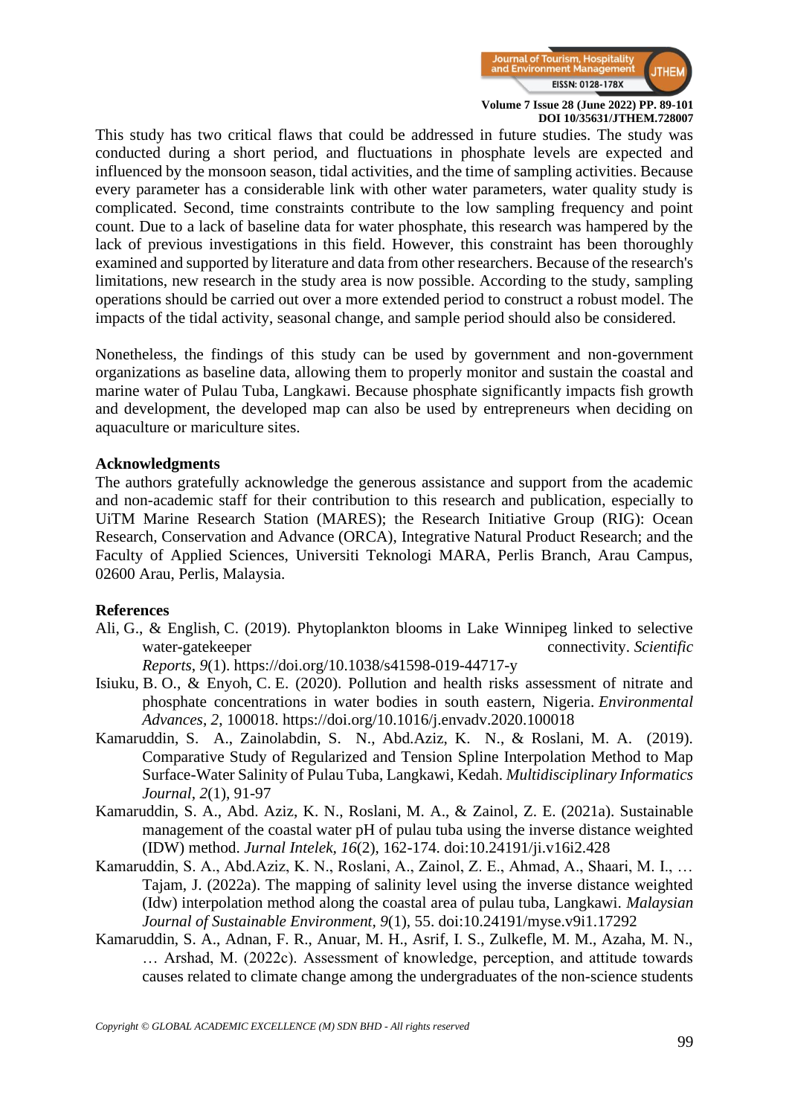

This study has two critical flaws that could be addressed in future studies. The study was conducted during a short period, and fluctuations in phosphate levels are expected and influenced by the monsoon season, tidal activities, and the time of sampling activities. Because every parameter has a considerable link with other water parameters, water quality study is complicated. Second, time constraints contribute to the low sampling frequency and point count. Due to a lack of baseline data for water phosphate, this research was hampered by the lack of previous investigations in this field. However, this constraint has been thoroughly examined and supported by literature and data from other researchers. Because of the research's limitations, new research in the study area is now possible. According to the study, sampling operations should be carried out over a more extended period to construct a robust model. The impacts of the tidal activity, seasonal change, and sample period should also be considered.

Nonetheless, the findings of this study can be used by government and non-government organizations as baseline data, allowing them to properly monitor and sustain the coastal and marine water of Pulau Tuba, Langkawi. Because phosphate significantly impacts fish growth and development, the developed map can also be used by entrepreneurs when deciding on aquaculture or mariculture sites.

#### **Acknowledgments**

The authors gratefully acknowledge the generous assistance and support from the academic and non-academic staff for their contribution to this research and publication, especially to UiTM Marine Research Station (MARES); the Research Initiative Group (RIG): Ocean Research, Conservation and Advance (ORCA), Integrative Natural Product Research; and the Faculty of Applied Sciences, Universiti Teknologi MARA, Perlis Branch, Arau Campus, 02600 Arau, Perlis, Malaysia.

#### **References**

Ali, G., & English, C. (2019). Phytoplankton blooms in Lake Winnipeg linked to selective water-gatekeeper connectivity. *Scientific* 

*Reports*, *9*(1). <https://doi.org/10.1038/s41598-019-44717-y>

- Isiuku, B. O., & Enyoh, C. E. (2020). Pollution and health risks assessment of nitrate and phosphate concentrations in water bodies in south eastern, Nigeria. *Environmental Advances*, *2*, 100018. <https://doi.org/10.1016/j.envadv.2020.100018>
- Kamaruddin, S. A., Zainolabdin, S. N., Abd.Aziz, K. N., & Roslani, M. A. (2019). Comparative Study of Regularized and Tension Spline Interpolation Method to Map Surface-Water Salinity of Pulau Tuba, Langkawi, Kedah. *Multidisciplinary Informatics Journal*, *2*(1), 91-97
- Kamaruddin, S. A., Abd. Aziz, K. N., Roslani, M. A., & Zainol, Z. E. (2021a). Sustainable management of the coastal water pH of pulau tuba using the inverse distance weighted (IDW) method. *Jurnal Intelek, 16*(2), 162-174. doi:10.24191/ji.v16i2.428
- Kamaruddin, S. A., Abd.Aziz, K. N., Roslani, A., Zainol, Z. E., Ahmad, A., Shaari, M. I., … Tajam, J. (2022a). The mapping of salinity level using the inverse distance weighted (Idw) interpolation method along the coastal area of pulau tuba, Langkawi. *Malaysian Journal of Sustainable Environment, 9*(1), 55. doi:10.24191/myse.v9i1.17292
- Kamaruddin, S. A., Adnan, F. R., Anuar, M. H., Asrif, I. S., Zulkefle, M. M., Azaha, M. N., … Arshad, M. (2022c). Assessment of knowledge, perception, and attitude towards causes related to climate change among the undergraduates of the non-science students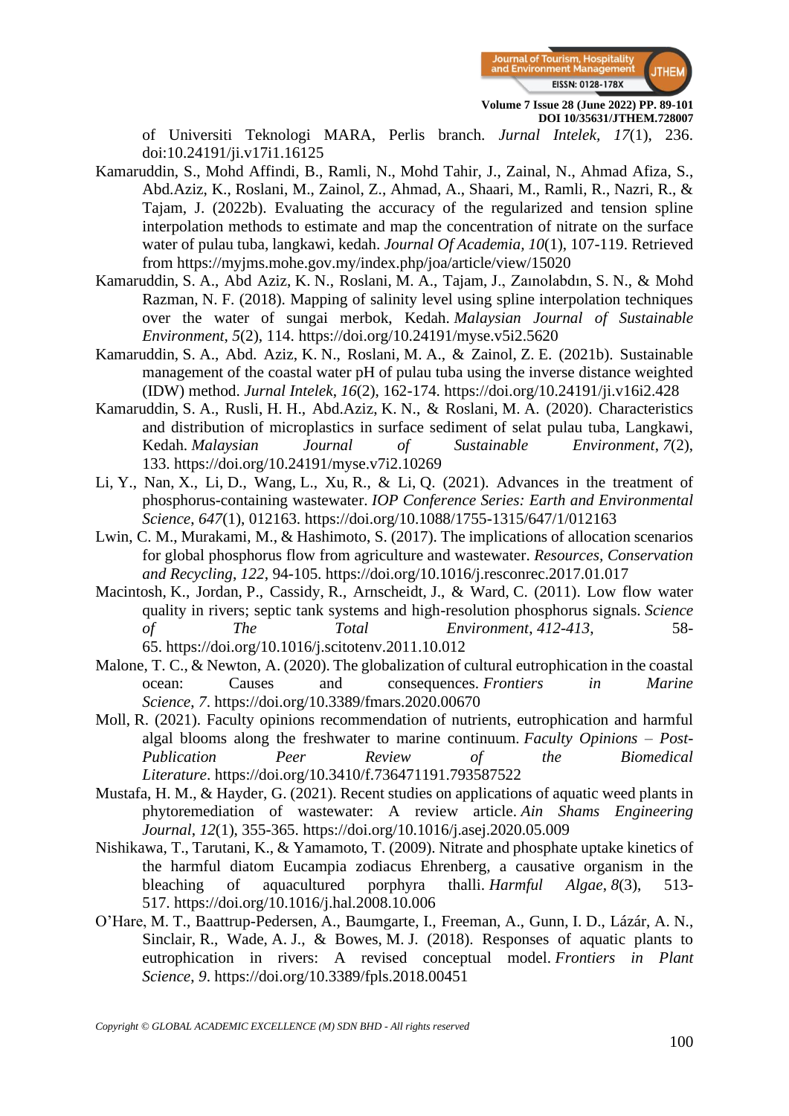

of Universiti Teknologi MARA, Perlis branch. *Jurnal Intelek, 17*(1), 236. doi:10.24191/ji.v17i1.16125

- Kamaruddin, S., Mohd Affindi, B., Ramli, N., Mohd Tahir, J., Zainal, N., Ahmad Afiza, S., Abd.Aziz, K., Roslani, M., Zainol, Z., Ahmad, A., Shaari, M., Ramli, R., Nazri, R., & Tajam, J. (2022b). Evaluating the accuracy of the regularized and tension spline interpolation methods to estimate and map the concentration of nitrate on the surface water of pulau tuba, langkawi, kedah. *Journal Of Academia, 10*(1), 107-119. Retrieved from <https://myjms.mohe.gov.my/index.php/joa/article/view/15020>
- Kamaruddin, S. A., Abd Aziz, K. N., Roslani, M. A., Tajam, J., Zaınolabdın, S. N., & Mohd Razman, N. F. (2018). Mapping of salinity level using spline interpolation techniques over the water of sungai merbok, Kedah. *Malaysian Journal of Sustainable Environment*, *5*(2), 114. <https://doi.org/10.24191/myse.v5i2.5620>
- Kamaruddin, S. A., Abd. Aziz, K. N., Roslani, M. A., & Zainol, Z. E. (2021b). Sustainable management of the coastal water pH of pulau tuba using the inverse distance weighted (IDW) method. *Jurnal Intelek*, *16*(2), 162-174. <https://doi.org/10.24191/ji.v16i2.428>
- Kamaruddin, S. A., Rusli, H. H., Abd.Aziz, K. N., & Roslani, M. A. (2020). Characteristics and distribution of microplastics in surface sediment of selat pulau tuba, Langkawi, Kedah. *Malaysian Journal of Sustainable Environment*, *7*(2), 133. <https://doi.org/10.24191/myse.v7i2.10269>
- Li, Y., Nan, X., Li, D., Wang, L., Xu, R., & Li, Q. (2021). Advances in the treatment of phosphorus-containing wastewater. *IOP Conference Series: Earth and Environmental Science*, *647*(1), 012163. <https://doi.org/10.1088/1755-1315/647/1/012163>
- Lwin, C. M., Murakami, M., & Hashimoto, S. (2017). The implications of allocation scenarios for global phosphorus flow from agriculture and wastewater. *Resources, Conservation and Recycling*, *122*, 94-105. <https://doi.org/10.1016/j.resconrec.2017.01.017>
- Macintosh, K., Jordan, P., Cassidy, R., Arnscheidt, J., & Ward, C. (2011). Low flow water quality in rivers; septic tank systems and high-resolution phosphorus signals. *Science of The Total Environment*, *412-413*, 58- 65. <https://doi.org/10.1016/j.scitotenv.2011.10.012>
- Malone, T. C., & Newton, A. (2020). The globalization of cultural eutrophication in the coastal ocean: Causes and consequences. *Frontiers in Marine Science*, *7*. <https://doi.org/10.3389/fmars.2020.00670>
- Moll, R. (2021). Faculty opinions recommendation of nutrients, eutrophication and harmful algal blooms along the freshwater to marine continuum. *Faculty Opinions – Post-Publication Peer Review of the Biomedical Literature*. <https://doi.org/10.3410/f.736471191.793587522>
- Mustafa, H. M., & Hayder, G. (2021). Recent studies on applications of aquatic weed plants in phytoremediation of wastewater: A review article. *Ain Shams Engineering Journal*, *12*(1), 355-365. <https://doi.org/10.1016/j.asej.2020.05.009>
- Nishikawa, T., Tarutani, K., & Yamamoto, T. (2009). Nitrate and phosphate uptake kinetics of the harmful diatom Eucampia zodiacus Ehrenberg, a causative organism in the bleaching of aquacultured porphyra thalli. *Harmful Algae*, *8*(3), 513- 517. <https://doi.org/10.1016/j.hal.2008.10.006>
- O'Hare, M. T., Baattrup-Pedersen, A., Baumgarte, I., Freeman, A., Gunn, I. D., Lázár, A. N., Sinclair, R., Wade, A. J., & Bowes, M. J. (2018). Responses of aquatic plants to eutrophication in rivers: A revised conceptual model. *Frontiers in Plant Science*, *9*. <https://doi.org/10.3389/fpls.2018.00451>